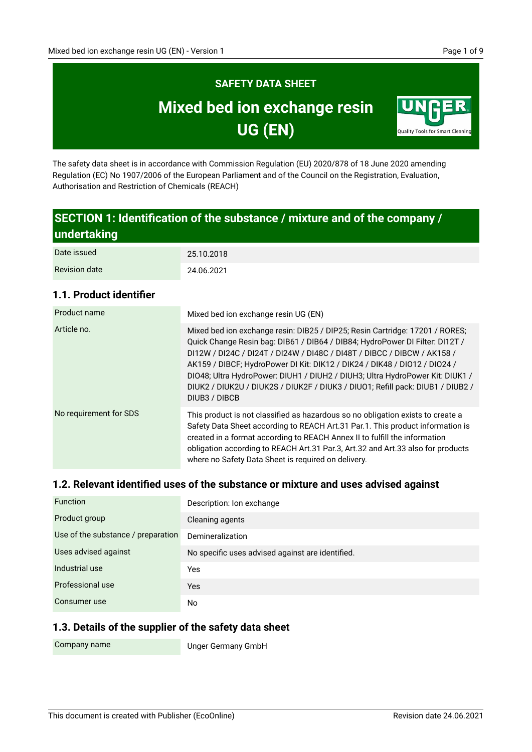# **SAFETY DATA SHEET Mixed bed ion exchange resin UG (EN)**



The safety data sheet is in accordance with Commission Regulation (EU) 2020/878 of 18 June 2020 amending Regulation (EC) No 1907/2006 of the European Parliament and of the Council on the Registration, Evaluation, Authorisation and Restriction of Chemicals (REACH)

# **SECTION 1: Identification of the substance / mixture and of the company / undertaking**

| Date issued          | 25.10.2018 |
|----------------------|------------|
| <b>Revision date</b> | 24.06.2021 |

#### **1.1. Product identifier**

| Product name           | Mixed bed ion exchange resin UG (EN)                                                                                                                                                                                                                                                                                                                                                                                                                                                                     |
|------------------------|----------------------------------------------------------------------------------------------------------------------------------------------------------------------------------------------------------------------------------------------------------------------------------------------------------------------------------------------------------------------------------------------------------------------------------------------------------------------------------------------------------|
| Article no.            | Mixed bed ion exchange resin: DIB25 / DIP25; Resin Cartridge: 17201 / RORES;<br>Quick Change Resin bag: DIB61 / DIB64 / DIB84; HydroPower DI Filter: DI12T /<br>DI12W / DI24C / DI24T / DI24W / DI48C / DI48T / DIBCC / DIBCW / AK158 /<br>AK159 / DIBCF; HydroPower DI Kit: DIK12 / DIK24 / DIK48 / DI012 / DI024 /<br>DIO48; Ultra HydroPower: DIUH1 / DIUH2 / DIUH3; Ultra HydroPower Kit: DIUK1 /<br>DIUK2 / DIUK2U / DIUK2S / DIUK2F / DIUK3 / DIUO1; Refill pack: DIUB1 / DIUB2 /<br>DIUB3 / DIBCB |
| No requirement for SDS | This product is not classified as hazardous so no obligation exists to create a<br>Safety Data Sheet according to REACH Art.31 Par.1. This product information is<br>created in a format according to REACH Annex II to fulfill the information<br>obligation according to REACH Art.31 Par.3, Art.32 and Art.33 also for products<br>where no Safety Data Sheet is required on delivery.                                                                                                                |

#### **1.2. Relevant identified uses of the substance or mixture and uses advised against**

| <b>Function</b>                    | Description: Ion exchange                        |
|------------------------------------|--------------------------------------------------|
| Product group                      | Cleaning agents                                  |
| Use of the substance / preparation | Demineralization                                 |
| Uses advised against               | No specific uses advised against are identified. |
| Industrial use                     | Yes                                              |
| Professional use                   | <b>Yes</b>                                       |
| Consumer use                       | No                                               |

#### **1.3. Details of the supplier of the safety data sheet**

Company name

Unger Germany GmbH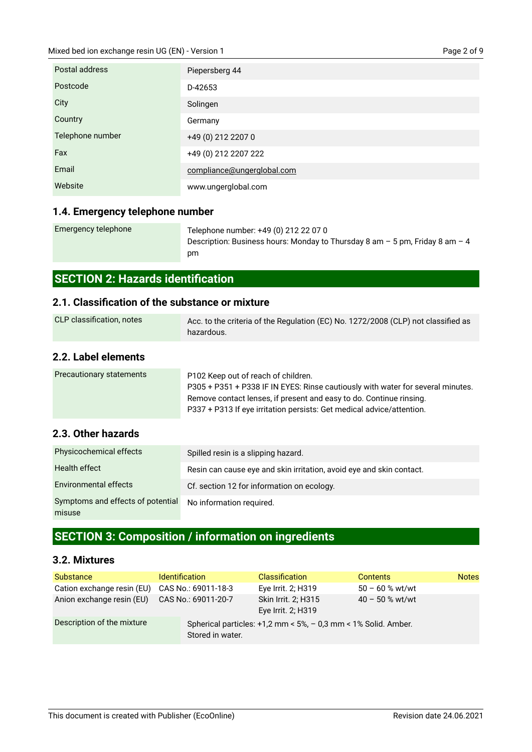| Postal address   | Piepersberg 44             |
|------------------|----------------------------|
| Postcode         | D-42653                    |
| City             | Solingen                   |
| Country          | Germany                    |
| Telephone number | +49 (0) 212 2207 0         |
| Fax              | +49 (0) 212 2207 222       |
| Email            | compliance@ungerglobal.com |
| Website          | www.ungerglobal.com        |

### **1.4. Emergency telephone number**

| Emergency telephone | Telephone number: +49 (0) 212 22 07 0                                          |
|---------------------|--------------------------------------------------------------------------------|
|                     | Description: Business hours: Monday to Thursday 8 am $-5$ pm, Friday 8 am $-4$ |
|                     | pm                                                                             |

# **SECTION 2: Hazards identification**

### **2.1. Classification of the substance or mixture**

| CLP classification, notes | Acc. to the criteria of the Regulation (EC) No. 1272/2008 (CLP) not classified as<br>hazardous.                                                                                                                                                                        |
|---------------------------|------------------------------------------------------------------------------------------------------------------------------------------------------------------------------------------------------------------------------------------------------------------------|
| 2.2. Label elements       |                                                                                                                                                                                                                                                                        |
| Precautionary statements  | P102 Keep out of reach of children.<br>P305 + P351 + P338 IF IN EYES: Rinse cautiously with water for several minutes.<br>Remove contact lenses, if present and easy to do. Continue rinsing.<br>P337 + P313 If eye irritation persists: Get medical advice/attention. |

#### **2.3. Other hazards**

| Physicochemical effects                     | Spilled resin is a slipping hazard.                                  |
|---------------------------------------------|----------------------------------------------------------------------|
| Health effect                               | Resin can cause eye and skin irritation, avoid eye and skin contact. |
| <b>Environmental effects</b>                | Cf. section 12 for information on ecology.                           |
| Symptoms and effects of potential<br>misuse | No information required.                                             |

# **SECTION 3: Composition / information on ingredients**

#### **3.2. Mixtures**

| <b>Substance</b>           | <b>Identification</b>                                                              |                     | <b>Classification</b>                     | <b>Contents</b>   | <b>Notes</b> |
|----------------------------|------------------------------------------------------------------------------------|---------------------|-------------------------------------------|-------------------|--------------|
| Cation exchange resin (EU) |                                                                                    | CAS No.: 69011-18-3 | Eye Irrit. 2; H319                        | $50 - 60$ % wt/wt |              |
| Anion exchange resin (EU)  |                                                                                    | CAS No.: 69011-20-7 | Skin Irrit. 2; H315<br>Eye Irrit. 2; H319 | $40 - 50$ % wt/wt |              |
| Description of the mixture | Spherical particles: +1,2 mm < 5%, - 0,3 mm < 1% Solid. Amber.<br>Stored in water. |                     |                                           |                   |              |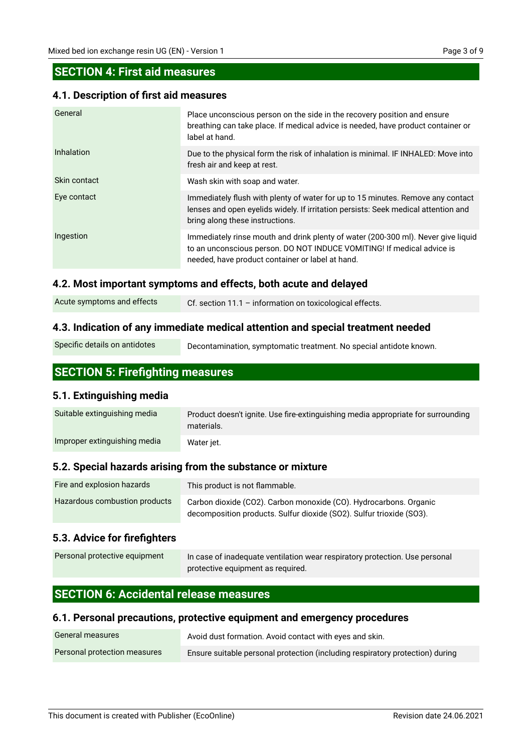### **SECTION 4: First aid measures**

#### **4.1. Description of first aid measures**

| General      | Place unconscious person on the side in the recovery position and ensure<br>breathing can take place. If medical advice is needed, have product container or<br>label at hand.                                  |
|--------------|-----------------------------------------------------------------------------------------------------------------------------------------------------------------------------------------------------------------|
| Inhalation   | Due to the physical form the risk of inhalation is minimal. IF INHALED: Move into<br>fresh air and keep at rest.                                                                                                |
| Skin contact | Wash skin with soap and water.                                                                                                                                                                                  |
| Eye contact  | Immediately flush with plenty of water for up to 15 minutes. Remove any contact<br>lenses and open evelids widely. If irritation persists: Seek medical attention and<br>bring along these instructions.        |
| Ingestion    | Immediately rinse mouth and drink plenty of water (200-300 ml). Never give liquid<br>to an unconscious person. DO NOT INDUCE VOMITING! If medical advice is<br>needed, have product container or label at hand. |

#### **4.2. Most important symptoms and effects, both acute and delayed**

| Acute symptoms and effects | Cf. section 11.1 - information on toxicological effects. |
|----------------------------|----------------------------------------------------------|
|----------------------------|----------------------------------------------------------|

#### **4.3. Indication of any immediate medical attention and special treatment needed**

Decontamination, symptomatic treatment. No special antidote known.

# **SECTION 5: Firefighting measures**

#### **5.1. Extinguishing media**

| Suitable extinguishing media | Product doesn't ignite. Use fire-extinguishing media appropriate for surrounding<br>materials. |
|------------------------------|------------------------------------------------------------------------------------------------|
| Improper extinguishing media | Water iet.                                                                                     |

#### **5.2. Special hazards arising from the substance or mixture**

| Fire and explosion hazards    | This product is not flammable.                                                                                                            |
|-------------------------------|-------------------------------------------------------------------------------------------------------------------------------------------|
| Hazardous combustion products | Carbon dioxide (CO2). Carbon monoxide (CO). Hydrocarbons. Organic<br>decomposition products. Sulfur dioxide (SO2). Sulfur trioxide (SO3). |

#### **5.3. Advice for firefighters**

| Personal protective equipment | In case of inadequate ventilation wear respiratory protection. Use personal |  |
|-------------------------------|-----------------------------------------------------------------------------|--|
|                               | protective equipment as required.                                           |  |

# **SECTION 6: Accidental release measures**

#### **6.1. Personal precautions, protective equipment and emergency procedures**

| General measures             | Avoid dust formation. Avoid contact with eyes and skin.                       |
|------------------------------|-------------------------------------------------------------------------------|
| Personal protection measures | Ensure suitable personal protection (including respiratory protection) during |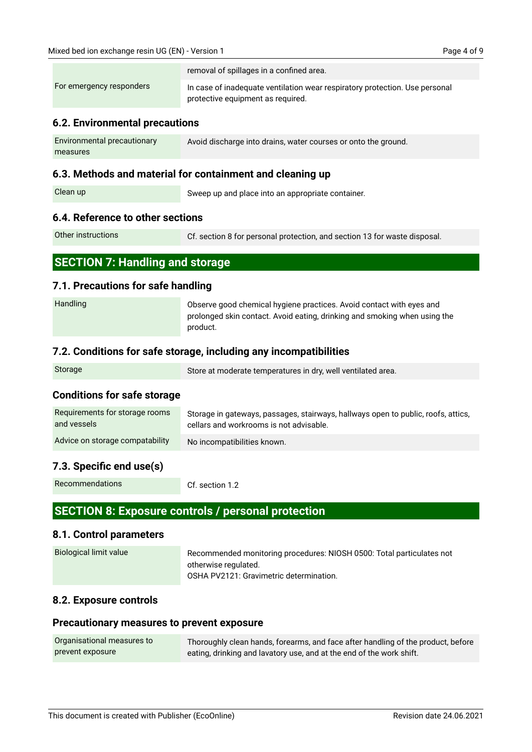|                          | removal of spillages in a confined area.                                                                         |
|--------------------------|------------------------------------------------------------------------------------------------------------------|
| For emergency responders | In case of inadequate ventilation wear respiratory protection. Use personal<br>protective equipment as required. |

#### **6.2. Environmental precautions**

| Environmental precautionary | Avoid discharge into drains, water courses or onto the ground. |
|-----------------------------|----------------------------------------------------------------|
| measures                    |                                                                |

#### **6.3. Methods and material for containment and cleaning up**

Clean up

Sweep up and place into an appropriate container.

#### **6.4. Reference to other sections**

Other instructions

Cf. section 8 for personal protection, and section 13 for waste disposal.

| <b>SECTION 7: Handling and storage</b> |  |  |  |
|----------------------------------------|--|--|--|
|                                        |  |  |  |

#### **7.1. Precautions for safe handling**

| Handling | Observe good chemical hygiene practices. Avoid contact with eyes and      |
|----------|---------------------------------------------------------------------------|
|          | prolonged skin contact. Avoid eating, drinking and smoking when using the |
|          | product.                                                                  |

#### **7.2. Conditions for safe storage, including any incompatibilities**

| Storage | Store at moderate temperatures in dry, well ventilated area. |
|---------|--------------------------------------------------------------|
|         |                                                              |

#### **Conditions for safe storage**

| Requirements for storage rooms  | Storage in gateways, passages, stairways, hallways open to public, roofs, attics, |
|---------------------------------|-----------------------------------------------------------------------------------|
| and vessels                     | cellars and workrooms is not advisable.                                           |
| Advice on storage compatability | No incompatibilities known.                                                       |

#### **7.3. Specific end use(s)**

Recommendations

Cf. section 1.2

## **SECTION 8: Exposure controls / personal protection**

#### **8.1. Control parameters**

| Biological limit value | Recommended monitoring procedures: NIOSH 0500: Total particulates not |
|------------------------|-----------------------------------------------------------------------|
|                        | otherwise regulated.                                                  |
|                        | OSHA PV2121: Gravimetric determination.                               |

#### **8.2. Exposure controls**

#### **Precautionary measures to prevent exposure**

| Organisational measures to | Thoroughly clean hands, forearms, and face after handling of the product, before |
|----------------------------|----------------------------------------------------------------------------------|
| prevent exposure           | eating, drinking and lavatory use, and at the end of the work shift.             |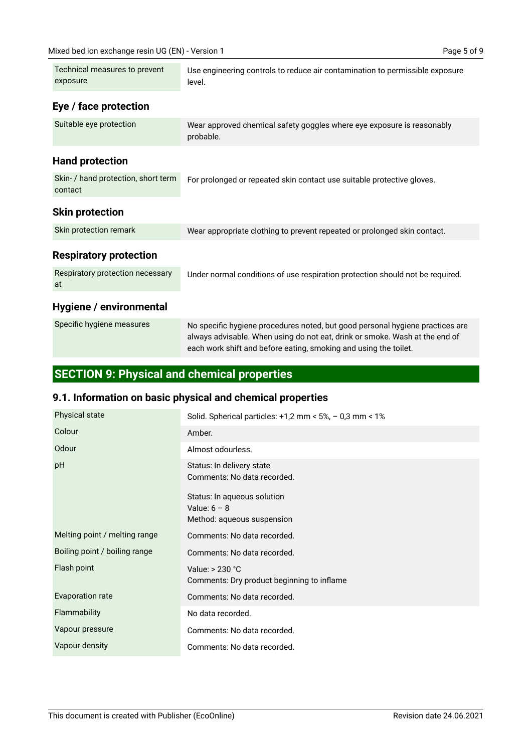| Technical measures to prevent<br>exposure      | Use engineering controls to reduce air contamination to permissible exposure<br>level.                                                                                                                                           |
|------------------------------------------------|----------------------------------------------------------------------------------------------------------------------------------------------------------------------------------------------------------------------------------|
| Eye / face protection                          |                                                                                                                                                                                                                                  |
| Suitable eye protection                        | Wear approved chemical safety goggles where eye exposure is reasonably<br>probable.                                                                                                                                              |
| <b>Hand protection</b>                         |                                                                                                                                                                                                                                  |
| Skin- / hand protection, short term<br>contact | For prolonged or repeated skin contact use suitable protective gloves.                                                                                                                                                           |
| <b>Skin protection</b>                         |                                                                                                                                                                                                                                  |
| Skin protection remark                         | Wear appropriate clothing to prevent repeated or prolonged skin contact.                                                                                                                                                         |
| <b>Respiratory protection</b>                  |                                                                                                                                                                                                                                  |
| Respiratory protection necessary<br>at         | Under normal conditions of use respiration protection should not be required.                                                                                                                                                    |
| Hygiene / environmental                        |                                                                                                                                                                                                                                  |
| Specific hygiene measures                      | No specific hygiene procedures noted, but good personal hygiene practices are<br>always advisable. When using do not eat, drink or smoke. Wash at the end of<br>each work shift and before eating, smoking and using the toilet. |

# **SECTION 9: Physical and chemical properties**

# **9.1. Information on basic physical and chemical properties**

| <b>Physical state</b>         | Solid. Spherical particles: $+1,2$ mm < 5%, $-0,3$ mm < 1%                  |
|-------------------------------|-----------------------------------------------------------------------------|
| Colour                        | Amber.                                                                      |
| Odour                         | Almost odourless.                                                           |
| pH                            | Status: In delivery state<br>Comments: No data recorded.                    |
|                               | Status: In aqueous solution<br>Value: $6 - 8$<br>Method: aqueous suspension |
| Melting point / melting range | Comments: No data recorded.                                                 |
| Boiling point / boiling range | Comments: No data recorded.                                                 |
| Flash point                   | Value: $> 230 °C$<br>Comments: Dry product beginning to inflame             |
| Evaporation rate              | Comments: No data recorded.                                                 |
| Flammability                  | No data recorded.                                                           |
| Vapour pressure               | Comments: No data recorded.                                                 |
| Vapour density                | Comments: No data recorded.                                                 |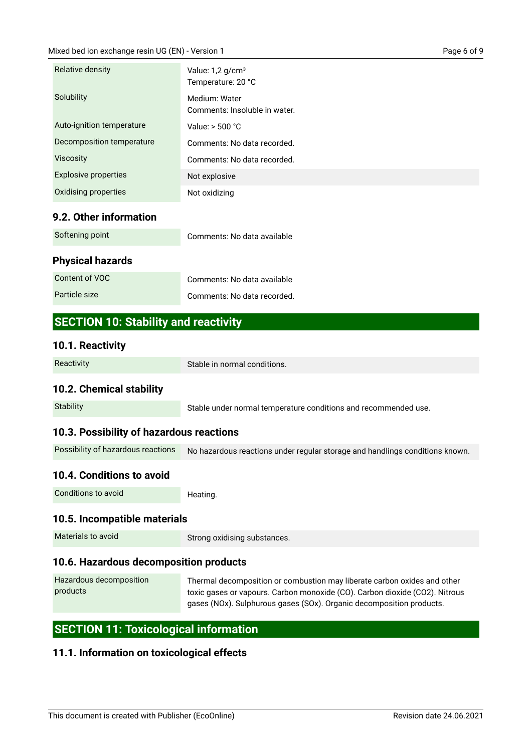| Relative density            | Value: $1,2$ g/cm <sup>3</sup><br>Temperature: 20 °C |  |
|-----------------------------|------------------------------------------------------|--|
| Solubility                  | Medium: Water<br>Comments: Insoluble in water.       |  |
| Auto-ignition temperature   | Value: $>$ 500 $^{\circ}$ C                          |  |
| Decomposition temperature   | Comments: No data recorded.                          |  |
| <b>Viscosity</b>            | Comments: No data recorded.                          |  |
| <b>Explosive properties</b> | Not explosive                                        |  |
| Oxidising properties        | Not oxidizing                                        |  |
|                             |                                                      |  |

### **9.2. Other information**

| Softening point         | Comments: No data available |
|-------------------------|-----------------------------|
| <b>Physical hazards</b> |                             |
| Content of VOC          | Comments: No data available |
| Particle size           | Comments: No data recorded. |

# **SECTION 10: Stability and reactivity**

#### **10.1. Reactivity**

| Reactivity                               | Stable in normal conditions.                                                 |  |
|------------------------------------------|------------------------------------------------------------------------------|--|
| 10.2. Chemical stability                 |                                                                              |  |
| <b>Stability</b>                         | Stable under normal temperature conditions and recommended use.              |  |
| 10.3. Possibility of hazardous reactions |                                                                              |  |
| Possibility of hazardous reactions       | No hazardous reactions under regular storage and handlings conditions known. |  |
| 10.4. Conditions to avoid                |                                                                              |  |
| Conditions to avoid                      | Heating.                                                                     |  |

### **10.5. Incompatible materials**

Materials to avoid

Strong oxidising substances.

# **10.6. Hazardous decomposition products**

Thermal decomposition or combustion may liberate carbon oxides and other toxic gases or vapours. Carbon monoxide (CO). Carbon dioxide (CO2). Nitrous gases (NOx). Sulphurous gases (SOx). Organic decomposition products. Hazardous decomposition products

# **SECTION 11: Toxicological information**

# **11.1. Information on toxicological effects**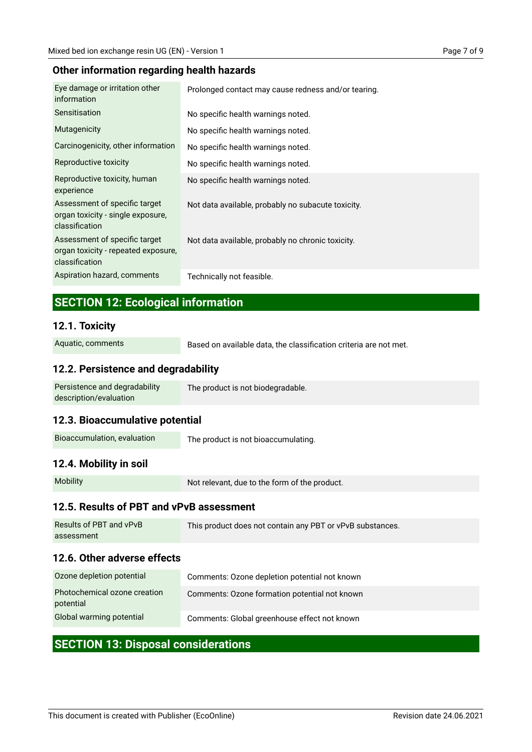#### **Other information regarding health hazards**

| Eye damage or irritation other<br>information                                          | Prolonged contact may cause redness and/or tearing. |
|----------------------------------------------------------------------------------------|-----------------------------------------------------|
| <b>Sensitisation</b>                                                                   | No specific health warnings noted.                  |
| Mutagenicity                                                                           | No specific health warnings noted.                  |
| Carcinogenicity, other information                                                     | No specific health warnings noted.                  |
| Reproductive toxicity                                                                  | No specific health warnings noted.                  |
| Reproductive toxicity, human<br>experience                                             | No specific health warnings noted.                  |
| Assessment of specific target<br>organ toxicity - single exposure,<br>classification   | Not data available, probably no subacute toxicity.  |
| Assessment of specific target<br>organ toxicity - repeated exposure,<br>classification | Not data available, probably no chronic toxicity.   |
| Aspiration hazard, comments                                                            | Technically not feasible.                           |

# **SECTION 12: Ecological information**

#### **12.1. Toxicity**

Aquatic, comments

Based on available data, the classification criteria are not met.

#### **12.2. Persistence and degradability**

| Persistence and degradability | The product is not biodegradable. |
|-------------------------------|-----------------------------------|
| description/evaluation        |                                   |

#### **12.3. Bioaccumulative potential**

The product is not bioaccumulating. Bioaccumulation, evaluation

#### **12.4. Mobility in soil**

Mobility

Not relevant, due to the form of the product.

#### **12.5. Results of PBT and vPvB assessment**

| 12.6. Other adverse effects |                                                           |  |
|-----------------------------|-----------------------------------------------------------|--|
| assessment                  |                                                           |  |
| Results of PBT and vPvB     | This product does not contain any PBT or vPvB substances. |  |

| Ozone depletion potential                 | Comments: Ozone depletion potential not known |
|-------------------------------------------|-----------------------------------------------|
| Photochemical ozone creation<br>potential | Comments: Ozone formation potential not known |
| Global warming potential                  | Comments: Global greenhouse effect not known  |

# **SECTION 13: Disposal considerations**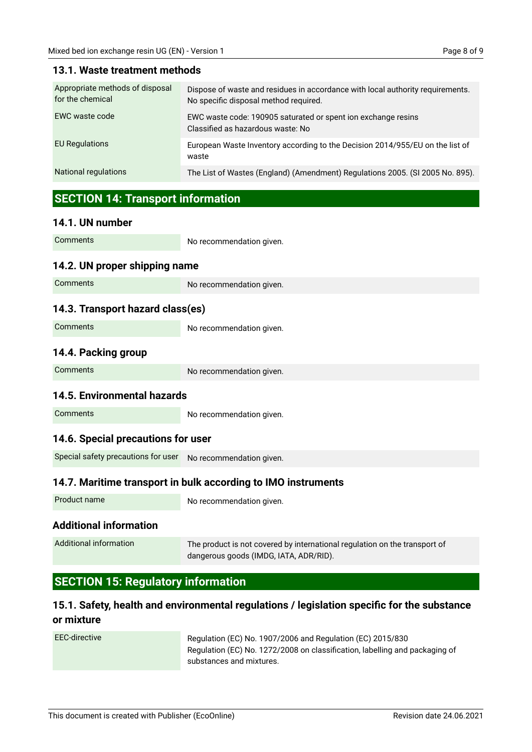| Appropriate methods of disposal<br>for the chemical | Dispose of waste and residues in accordance with local authority requirements.<br>No specific disposal method required. |
|-----------------------------------------------------|-------------------------------------------------------------------------------------------------------------------------|
| EWC waste code                                      | EWC waste code: 190905 saturated or spent ion exchange resins<br>Classified as hazardous waste: No                      |
| <b>EU Regulations</b>                               | European Waste Inventory according to the Decision 2014/955/EU on the list of<br>waste                                  |
| National regulations                                | The List of Wastes (England) (Amendment) Regulations 2005. (SI 2005 No. 895).                                           |

#### **13.1. Waste treatment methods**

# **SECTION 14: Transport information**

#### **14.1. UN number**

| Comments                                                      | No recommendation given.                                                                                             |  |
|---------------------------------------------------------------|----------------------------------------------------------------------------------------------------------------------|--|
| 14.2. UN proper shipping name                                 |                                                                                                                      |  |
| Comments                                                      | No recommendation given.                                                                                             |  |
| 14.3. Transport hazard class(es)                              |                                                                                                                      |  |
| Comments                                                      | No recommendation given.                                                                                             |  |
| 14.4. Packing group                                           |                                                                                                                      |  |
| Comments                                                      | No recommendation given.                                                                                             |  |
| 14.5. Environmental hazards                                   |                                                                                                                      |  |
| Comments                                                      | No recommendation given.                                                                                             |  |
| 14.6. Special precautions for user                            |                                                                                                                      |  |
| Special safety precautions for user                           | No recommendation given.                                                                                             |  |
| 14.7. Maritime transport in bulk according to IMO instruments |                                                                                                                      |  |
| Product name                                                  | No recommendation given.                                                                                             |  |
| <b>Additional information</b>                                 |                                                                                                                      |  |
| <b>Additional information</b>                                 | The product is not covered by international regulation on the transport of<br>dangerous goods (IMDG, IATA, ADR/RID). |  |

# **SECTION 15: Regulatory information**

# **15.1. Safety, health and environmental regulations / legislation specific for the substance or mixture**

EEC-directive

Regulation (EC) No. 1907/2006 and Regulation (EC) 2015/830 Regulation (EC) No. 1272/2008 on classification, labelling and packaging of substances and mixtures.